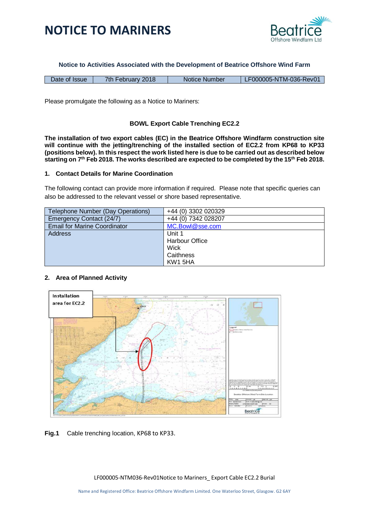



**Notice to Activities Associated with the Development of Beatrice Offshore Wind Farm**

| Date of Issue | 7th February 2018 | Notice Number | LF000005-NTM-036-Rev01/ |
|---------------|-------------------|---------------|-------------------------|
|---------------|-------------------|---------------|-------------------------|

Please promulgate the following as a Notice to Mariners:

## **BOWL Export Cable Trenching EC2.2**

**The installation of two export cables (EC) in the Beatrice Offshore Windfarm construction site will continue with the jetting/trenching of the installed section of EC2.2 from KP68 to KP33 (positions below). In this respect the work listed here is due to be carried out as described below starting on 7th Feb 2018. The works described are expected to be completed by the 15th Feb 2018.**

#### **1. Contact Details for Marine Coordination**

The following contact can provide more information if required. Please note that specific queries can also be addressed to the relevant vessel or shore based representative.

| Telephone Number (Day Operations)   | +44 (0) 3302 020329 |
|-------------------------------------|---------------------|
| Emergency Contact (24/7)            | +44 (0) 7342 028207 |
| <b>Email for Marine Coordinator</b> | MC.Bowl@sse.com     |
| <b>Address</b>                      | Unit 1              |
|                                     | Harbour Office      |
|                                     | Wick                |
|                                     | Caithness           |
|                                     | KW1 5HA             |

#### **2. Area of Planned Activity**



**Fig.1** Cable trenching location, KP68 to KP33.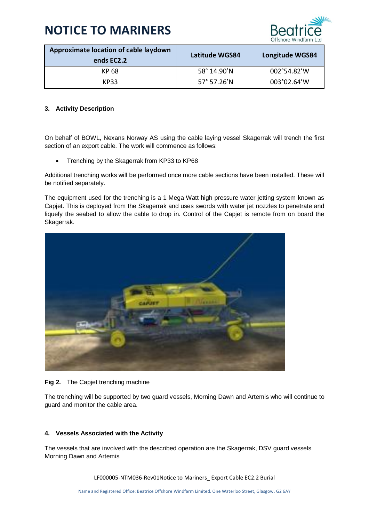

| Approximate location of cable laydown<br>ends EC2.2 | <b>Latitude WGS84</b> | <b>Longitude WGS84</b> |
|-----------------------------------------------------|-----------------------|------------------------|
| KP 68                                               | 58° 14.90'N           | 002°54.82'W            |
| KP33                                                | 57° 57.26'N           | 003°02.64'W            |

## **3. Activity Description**

On behalf of BOWL, Nexans Norway AS using the cable laying vessel Skagerrak will trench the first section of an export cable. The work will commence as follows:

• Trenching by the Skagerrak from KP33 to KP68

Additional trenching works will be performed once more cable sections have been installed. These will be notified separately.

The equipment used for the trenching is a 1 Mega Watt high pressure water jetting system known as Capjet. This is deployed from the Skagerrak and uses swords with water jet nozzles to penetrate and liquefy the seabed to allow the cable to drop in. Control of the Capjet is remote from on board the Skagerrak.



#### **Fig 2.** The Capjet trenching machine

The trenching will be supported by two guard vessels, Morning Dawn and Artemis who will continue to guard and monitor the cable area.

#### **4. Vessels Associated with the Activity**

The vessels that are involved with the described operation are the Skagerrak, DSV guard vessels Morning Dawn and Artemis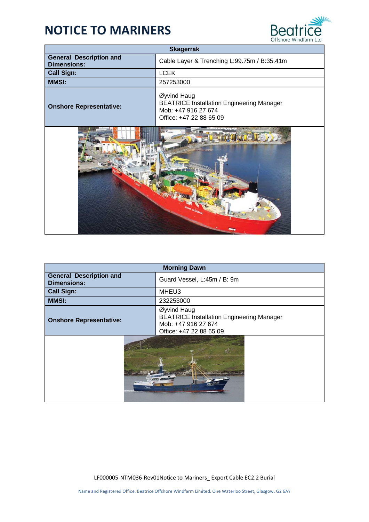

| <b>Skagerrak</b>                                     |                                                                                                                   |
|------------------------------------------------------|-------------------------------------------------------------------------------------------------------------------|
| <b>General Description and</b><br><b>Dimensions:</b> | Cable Layer & Trenching L:99.75m / B:35.41m                                                                       |
| <b>Call Sign:</b>                                    | <b>LCEK</b>                                                                                                       |
| <b>MMSI:</b>                                         | 257253000                                                                                                         |
| <b>Onshore Representative:</b>                       | Øyvind Haug<br><b>BEATRICE Installation Engineering Manager</b><br>Mob: +47 916 27 674<br>Office: +47 22 88 65 09 |
|                                                      |                                                                                                                   |

| <b>Morning Dawn</b>                                  |                                                                                                                   |
|------------------------------------------------------|-------------------------------------------------------------------------------------------------------------------|
| <b>General Description and</b><br><b>Dimensions:</b> | Guard Vessel, L:45m / B: 9m                                                                                       |
| <b>Call Sign:</b>                                    | MHEU3                                                                                                             |
| <b>MMSI:</b>                                         | 232253000                                                                                                         |
| <b>Onshore Representative:</b>                       | Øyvind Haug<br><b>BEATRICE Installation Engineering Manager</b><br>Mob: +47 916 27 674<br>Office: +47 22 88 65 09 |
| PD-359                                               |                                                                                                                   |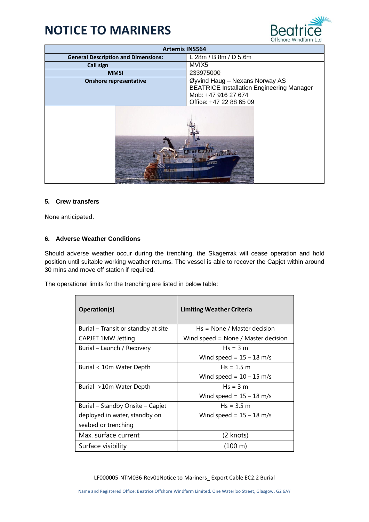

| <b>Artemis INS564</b>                      |                                                                                                                                      |
|--------------------------------------------|--------------------------------------------------------------------------------------------------------------------------------------|
| <b>General Description and Dimensions:</b> | L 28m / B 8m / D 5.6m                                                                                                                |
| <b>Call sign</b>                           | MVIX5                                                                                                                                |
| <b>MMSI</b>                                | 233975000                                                                                                                            |
| <b>Onshore representative</b>              | Øyvind Haug - Nexans Norway AS<br><b>BEATRICE Installation Engineering Manager</b><br>Mob: +47 916 27 674<br>Office: +47 22 88 65 09 |
|                                            |                                                                                                                                      |

### **5. Crew transfers**

None anticipated.

## **6. Adverse Weather Conditions**

Should adverse weather occur during the trenching, the Skagerrak will cease operation and hold position until suitable working weather returns. The vessel is able to recover the Capjet within around 30 mins and move off station if required.

The operational limits for the trenching are listed in below table:

| Operation(s)                        | <b>Limiting Weather Criteria</b>    |
|-------------------------------------|-------------------------------------|
| Burial – Transit or standby at site | $Hs = None / Master decision$       |
| <b>CAPJET 1MW Jetting</b>           | Wind speed = None / Master decision |
| Burial – Launch / Recovery          | $Hs = 3 m$                          |
|                                     | Wind speed = $15 - 18$ m/s          |
| Burial < 10m Water Depth            | $Hs = 1.5 m$                        |
|                                     | Wind speed = $10 - 15$ m/s          |
| Burial >10m Water Depth             | $Hs = 3 m$                          |
|                                     | Wind speed = $15 - 18$ m/s          |
| Burial – Standby Onsite – Capjet    | $Hs = 3.5 m$                        |
| deployed in water, standby on       | Wind speed = $15 - 18$ m/s          |
| seabed or trenching                 |                                     |
| Max. surface current                | (2 knots)                           |
| Surface visibility                  | $(100 \;{\rm m})$                   |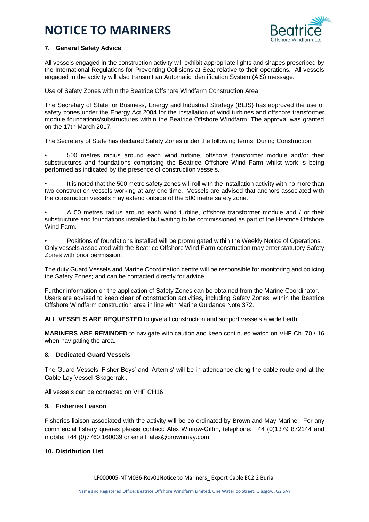

### **7. General Safety Advice**

All vessels engaged in the construction activity will exhibit appropriate lights and shapes prescribed by the International Regulations for Preventing Collisions at Sea; relative to their operations. All vessels engaged in the activity will also transmit an Automatic Identification System (AIS) message.

Use of Safety Zones within the Beatrice Offshore Windfarm Construction Area:

The Secretary of State for Business, Energy and Industrial Strategy (BEIS) has approved the use of safety zones under the Energy Act 2004 for the installation of wind turbines and offshore transformer module foundations/substructures within the Beatrice Offshore Windfarm. The approval was granted on the 17th March 2017.

The Secretary of State has declared Safety Zones under the following terms: During Construction

• 500 metres radius around each wind turbine, offshore transformer module and/or their substructures and foundations comprising the Beatrice Offshore Wind Farm whilst work is being performed as indicated by the presence of construction vessels.

It is noted that the 500 metre safety zones will roll with the installation activity with no more than two construction vessels working at any one time. Vessels are advised that anchors associated with the construction vessels may extend outside of the 500 metre safety zone.

• A 50 metres radius around each wind turbine, offshore transformer module and / or their substructure and foundations installed but waiting to be commissioned as part of the Beatrice Offshore Wind Farm.

• Positions of foundations installed will be promulgated within the Weekly Notice of Operations. Only vessels associated with the Beatrice Offshore Wind Farm construction may enter statutory Safety Zones with prior permission.

The duty Guard Vessels and Marine Coordination centre will be responsible for monitoring and policing the Safety Zones; and can be contacted directly for advice.

Further information on the application of Safety Zones can be obtained from the Marine Coordinator. Users are advised to keep clear of construction activities, including Safety Zones, within the Beatrice Offshore Windfarm construction area in line with Marine Guidance Note 372.

**ALL VESSELS ARE REQUESTED** to give all construction and support vessels a wide berth.

**MARINERS ARE REMINDED** to navigate with caution and keep continued watch on VHF Ch. 70 / 16 when navigating the area.

#### **8. Dedicated Guard Vessels**

The Guard Vessels 'Fisher Boys' and 'Artemis' will be in attendance along the cable route and at the Cable Lay Vessel 'Skagerrak'.

All vessels can be contacted on VHF CH16

### **9. Fisheries Liaison**

Fisheries liaison associated with the activity will be co-ordinated by Brown and May Marine. For any commercial fishery queries please contact: Alex Winrow-Giffin, telephone: +44 (0)1379 872144 and mobile: +44 (0)7760 160039 or email: alex@brownmay.com

### **10. Distribution List**